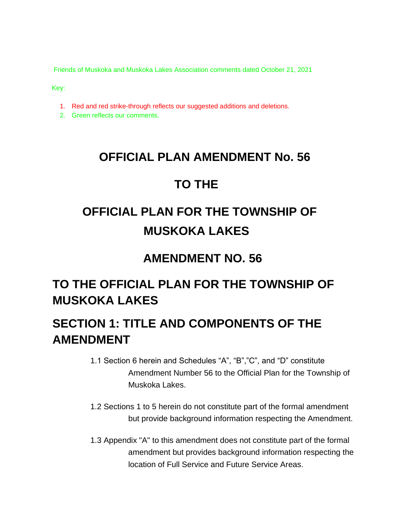Friends of Muskoka and Muskoka Lakes Association comments dated October 21, 2021

Key:

- 1. Red and red strike-through reflects our suggested additions and deletions.
- 2. Green reflects our comments.

## **OFFICIAL PLAN AMENDMENT No. 56**

## **TO THE**

# **OFFICIAL PLAN FOR THE TOWNSHIP OF MUSKOKA LAKES**

## **AMENDMENT NO. 56**

# **TO THE OFFICIAL PLAN FOR THE TOWNSHIP OF MUSKOKA LAKES**

## **SECTION 1: TITLE AND COMPONENTS OF THE AMENDMENT**

- 1.1 Section 6 herein and Schedules "A", "B","C", and "D" constitute Amendment Number 56 to the Official Plan for the Township of Muskoka Lakes.
- 1.2 Sections 1 to 5 herein do not constitute part of the formal amendment but provide background information respecting the Amendment.
- 1.3 Appendix "A" to this amendment does not constitute part of the formal amendment but provides background information respecting the location of Full Service and Future Service Areas.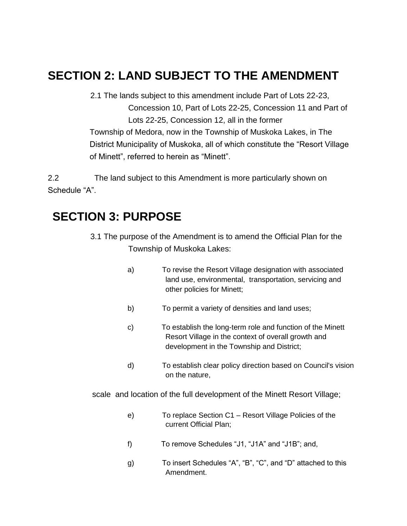## **SECTION 2: LAND SUBJECT TO THE AMENDMENT**

2.1 The lands subject to this amendment include Part of Lots 22-23, Concession 10, Part of Lots 22-25, Concession 11 and Part of Lots 22-25, Concession 12, all in the former Township of Medora, now in the Township of Muskoka Lakes, in The District Municipality of Muskoka, all of which constitute the "Resort Village of Minett", referred to herein as "Minett".

2.2 The land subject to this Amendment is more particularly shown on Schedule "A".

## **SECTION 3: PURPOSE**

- 3.1 The purpose of the Amendment is to amend the Official Plan for the Township of Muskoka Lakes:
	- a) To revise the Resort Village designation with associated land use, environmental, transportation, servicing and other policies for Minett;
	- b) To permit a variety of densities and land uses;
	- c) To establish the long-term role and function of the Minett Resort Village in the context of overall growth and development in the Township and District;
	- d) To establish clear policy direction based on Council's vision on the nature,

scale and location of the full development of the Minett Resort Village;

- e) To replace Section C1 Resort Village Policies of the current Official Plan;
- f) To remove Schedules "J1, "J1A" and "J1B"; and,
- g) To insert Schedules "A", "B", "C", and "D" attached to this Amendment.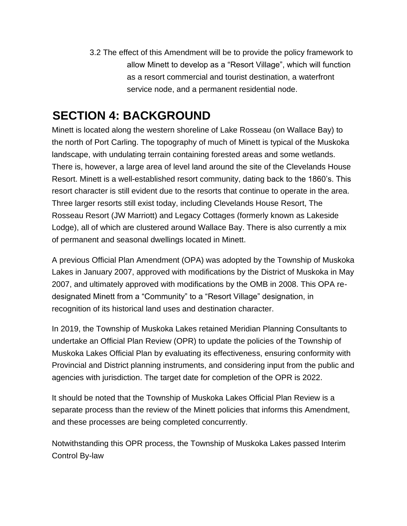3.2 The effect of this Amendment will be to provide the policy framework to allow Minett to develop as a "Resort Village", which will function as a resort commercial and tourist destination, a waterfront service node, and a permanent residential node.

## **SECTION 4: BACKGROUND**

Minett is located along the western shoreline of Lake Rosseau (on Wallace Bay) to the north of Port Carling. The topography of much of Minett is typical of the Muskoka landscape, with undulating terrain containing forested areas and some wetlands. There is, however, a large area of level land around the site of the Clevelands House Resort. Minett is a well-established resort community, dating back to the 1860's. This resort character is still evident due to the resorts that continue to operate in the area. Three larger resorts still exist today, including Clevelands House Resort, The Rosseau Resort (JW Marriott) and Legacy Cottages (formerly known as Lakeside Lodge), all of which are clustered around Wallace Bay. There is also currently a mix of permanent and seasonal dwellings located in Minett.

A previous Official Plan Amendment (OPA) was adopted by the Township of Muskoka Lakes in January 2007, approved with modifications by the District of Muskoka in May 2007, and ultimately approved with modifications by the OMB in 2008. This OPA redesignated Minett from a "Community" to a "Resort Village" designation, in recognition of its historical land uses and destination character.

In 2019, the Township of Muskoka Lakes retained Meridian Planning Consultants to undertake an Official Plan Review (OPR) to update the policies of the Township of Muskoka Lakes Official Plan by evaluating its effectiveness, ensuring conformity with Provincial and District planning instruments, and considering input from the public and agencies with jurisdiction. The target date for completion of the OPR is 2022.

It should be noted that the Township of Muskoka Lakes Official Plan Review is a separate process than the review of the Minett policies that informs this Amendment, and these processes are being completed concurrently.

Notwithstanding this OPR process, the Township of Muskoka Lakes passed Interim Control By-law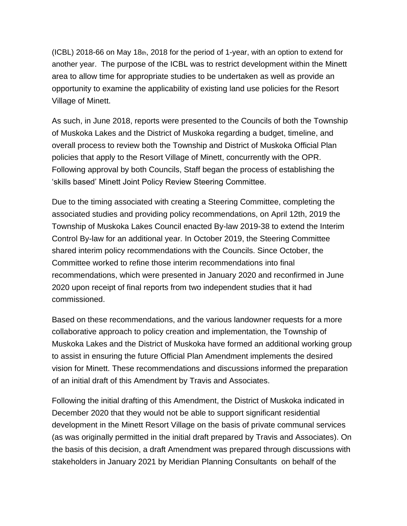(ICBL) 2018-66 on May 18th, 2018 for the period of 1-year, with an option to extend for another year. The purpose of the ICBL was to restrict development within the Minett area to allow time for appropriate studies to be undertaken as well as provide an opportunity to examine the applicability of existing land use policies for the Resort Village of Minett.

As such, in June 2018, reports were presented to the Councils of both the Township of Muskoka Lakes and the District of Muskoka regarding a budget, timeline, and overall process to review both the Township and District of Muskoka Official Plan policies that apply to the Resort Village of Minett, concurrently with the OPR. Following approval by both Councils, Staff began the process of establishing the 'skills based' Minett Joint Policy Review Steering Committee.

Due to the timing associated with creating a Steering Committee, completing the associated studies and providing policy recommendations, on April 12th, 2019 the Township of Muskoka Lakes Council enacted By-law 2019-38 to extend the Interim Control By-law for an additional year*.* In October 2019, the Steering Committee shared interim policy recommendations with the Councils. Since October, the Committee worked to refine those interim recommendations into final recommendations, which were presented in January 2020 and reconfirmed in June 2020 upon receipt of final reports from two independent studies that it had commissioned.

Based on these recommendations, and the various landowner requests for a more collaborative approach to policy creation and implementation, the Township of Muskoka Lakes and the District of Muskoka have formed an additional working group to assist in ensuring the future Official Plan Amendment implements the desired vision for Minett. These recommendations and discussions informed the preparation of an initial draft of this Amendment by Travis and Associates.

Following the initial drafting of this Amendment, the District of Muskoka indicated in December 2020 that they would not be able to support significant residential development in the Minett Resort Village on the basis of private communal services (as was originally permitted in the initial draft prepared by Travis and Associates). On the basis of this decision, a draft Amendment was prepared through discussions with stakeholders in January 2021 by Meridian Planning Consultants on behalf of the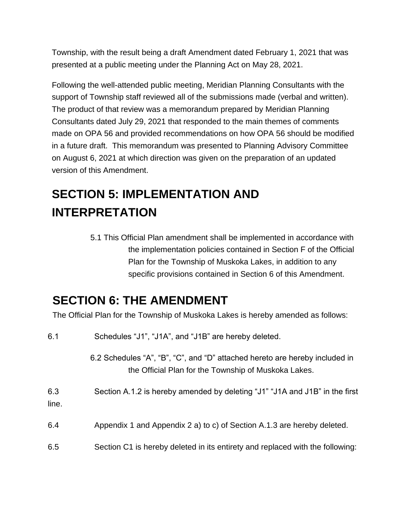Township, with the result being a draft Amendment dated February 1, 2021 that was presented at a public meeting under the Planning Act on May 28, 2021.

Following the well-attended public meeting, Meridian Planning Consultants with the support of Township staff reviewed all of the submissions made (verbal and written). The product of that review was a memorandum prepared by Meridian Planning Consultants dated July 29, 2021 that responded to the main themes of comments made on OPA 56 and provided recommendations on how OPA 56 should be modified in a future draft. This memorandum was presented to Planning Advisory Committee on August 6, 2021 at which direction was given on the preparation of an updated version of this Amendment.

# **SECTION 5: IMPLEMENTATION AND INTERPRETATION**

5.1 This Official Plan amendment shall be implemented in accordance with the implementation policies contained in Section F of the Official Plan for the Township of Muskoka Lakes, in addition to any specific provisions contained in Section 6 of this Amendment.

## **SECTION 6: THE AMENDMENT**

The Official Plan for the Township of Muskoka Lakes is hereby amended as follows:

| 6.1          | Schedules "J1", "J1A", and "J1B" are hereby deleted.                                                                                |
|--------------|-------------------------------------------------------------------------------------------------------------------------------------|
|              | 6.2 Schedules "A", "B", "C", and "D" attached hereto are hereby included in<br>the Official Plan for the Township of Muskoka Lakes. |
| 6.3<br>line. | Section A.1.2 is hereby amended by deleting "J1" "J1A and J1B" in the first                                                         |
| 6.4          | Appendix 1 and Appendix 2 a) to c) of Section A.1.3 are hereby deleted.                                                             |
| 6.5          | Section C1 is hereby deleted in its entirety and replaced with the following:                                                       |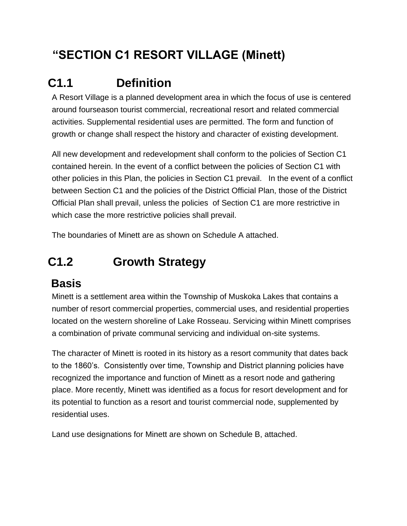# **"SECTION C1 RESORT VILLAGE (Minett)**

# **C1.1 Definition**

A Resort Village is a planned development area in which the focus of use is centered around fourseason tourist commercial, recreational resort and related commercial activities. Supplemental residential uses are permitted. The form and function of growth or change shall respect the history and character of existing development.

All new development and redevelopment shall conform to the policies of Section C1 contained herein. In the event of a conflict between the policies of Section C1 with other policies in this Plan, the policies in Section C1 prevail. In the event of a conflict between Section C1 and the policies of the District Official Plan, those of the District Official Plan shall prevail, unless the policies of Section C1 are more restrictive in which case the more restrictive policies shall prevail.

The boundaries of Minett are as shown on Schedule A attached.

# **C1.2 Growth Strategy**

## **Basis**

Minett is a settlement area within the Township of Muskoka Lakes that contains a number of resort commercial properties, commercial uses, and residential properties located on the western shoreline of Lake Rosseau. Servicing within Minett comprises a combination of private communal servicing and individual on-site systems.

The character of Minett is rooted in its history as a resort community that dates back to the 1860's. Consistently over time, Township and District planning policies have recognized the importance and function of Minett as a resort node and gathering place. More recently, Minett was identified as a focus for resort development and for its potential to function as a resort and tourist commercial node, supplemented by residential uses.

Land use designations for Minett are shown on Schedule B, attached.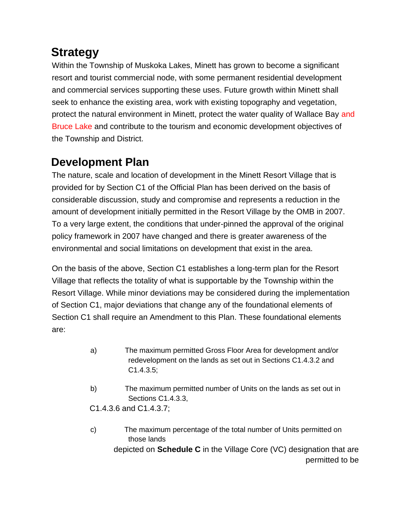# **Strategy**

Within the Township of Muskoka Lakes, Minett has grown to become a significant resort and tourist commercial node, with some permanent residential development and commercial services supporting these uses. Future growth within Minett shall seek to enhance the existing area, work with existing topography and vegetation, protect the natural environment in Minett, protect the water quality of Wallace Bay and Bruce Lake and contribute to the tourism and economic development objectives of the Township and District.

## **Development Plan**

The nature, scale and location of development in the Minett Resort Village that is provided for by Section C1 of the Official Plan has been derived on the basis of considerable discussion, study and compromise and represents a reduction in the amount of development initially permitted in the Resort Village by the OMB in 2007. To a very large extent, the conditions that under-pinned the approval of the original policy framework in 2007 have changed and there is greater awareness of the environmental and social limitations on development that exist in the area.

On the basis of the above, Section C1 establishes a long-term plan for the Resort Village that reflects the totality of what is supportable by the Township within the Resort Village. While minor deviations may be considered during the implementation of Section C1, major deviations that change any of the foundational elements of Section C1 shall require an Amendment to this Plan. These foundational elements are:

- a) The maximum permitted Gross Floor Area for development and/or redevelopment on the lands as set out in Sections C1.4.3.2 and C1.4.3.5;
- b) The maximum permitted number of Units on the lands as set out in Sections C1.4.3.3,

C1.4.3.6 and C1.4.3.7;

c) The maximum percentage of the total number of Units permitted on those lands depicted on **Schedule C** in the Village Core (VC) designation that are permitted to be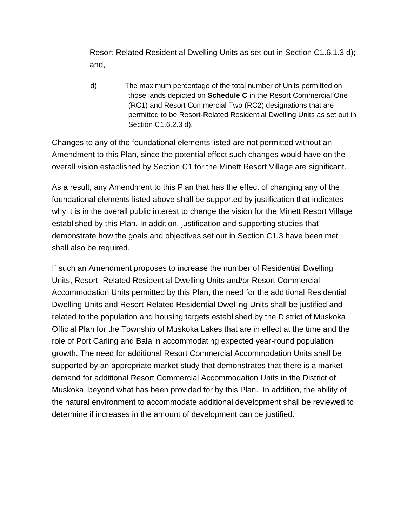Resort-Related Residential Dwelling Units as set out in Section C1.6.1.3 d); and,

d) The maximum percentage of the total number of Units permitted on those lands depicted on **Schedule C** in the Resort Commercial One (RC1) and Resort Commercial Two (RC2) designations that are permitted to be Resort-Related Residential Dwelling Units as set out in Section C1.6.2.3 d).

Changes to any of the foundational elements listed are not permitted without an Amendment to this Plan, since the potential effect such changes would have on the overall vision established by Section C1 for the Minett Resort Village are significant.

As a result, any Amendment to this Plan that has the effect of changing any of the foundational elements listed above shall be supported by justification that indicates why it is in the overall public interest to change the vision for the Minett Resort Village established by this Plan. In addition, justification and supporting studies that demonstrate how the goals and objectives set out in Section C1.3 have been met shall also be required.

If such an Amendment proposes to increase the number of Residential Dwelling Units, Resort- Related Residential Dwelling Units and/or Resort Commercial Accommodation Units permitted by this Plan, the need for the additional Residential Dwelling Units and Resort-Related Residential Dwelling Units shall be justified and related to the population and housing targets established by the District of Muskoka Official Plan for the Township of Muskoka Lakes that are in effect at the time and the role of Port Carling and Bala in accommodating expected year-round population growth. The need for additional Resort Commercial Accommodation Units shall be supported by an appropriate market study that demonstrates that there is a market demand for additional Resort Commercial Accommodation Units in the District of Muskoka, beyond what has been provided for by this Plan. In addition, the ability of the natural environment to accommodate additional development shall be reviewed to determine if increases in the amount of development can be justified.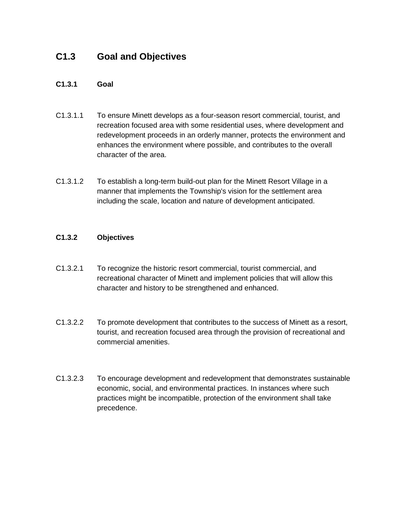## **C1.3 Goal and Objectives**

#### **C1.3.1 Goal**

- C1.3.1.1 To ensure Minett develops as a four-season resort commercial, tourist, and recreation focused area with some residential uses, where development and redevelopment proceeds in an orderly manner, protects the environment and enhances the environment where possible, and contributes to the overall character of the area.
- C1.3.1.2 To establish a long-term build-out plan for the Minett Resort Village in a manner that implements the Township's vision for the settlement area including the scale, location and nature of development anticipated.

#### **C1.3.2 Objectives**

- C1.3.2.1 To recognize the historic resort commercial, tourist commercial, and recreational character of Minett and implement policies that will allow this character and history to be strengthened and enhanced.
- C1.3.2.2 To promote development that contributes to the success of Minett as a resort, tourist, and recreation focused area through the provision of recreational and commercial amenities.
- C1.3.2.3 To encourage development and redevelopment that demonstrates sustainable economic, social, and environmental practices. In instances where such practices might be incompatible, protection of the environment shall take precedence.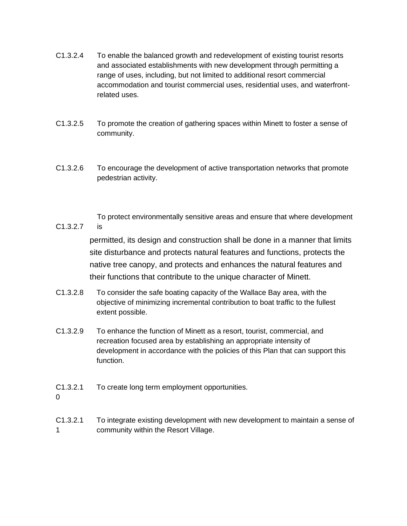- C1.3.2.4 To enable the balanced growth and redevelopment of existing tourist resorts and associated establishments with new development through permitting a range of uses, including, but not limited to additional resort commercial accommodation and tourist commercial uses, residential uses, and waterfrontrelated uses.
- C1.3.2.5 To promote the creation of gathering spaces within Minett to foster a sense of community.
- C1.3.2.6 To encourage the development of active transportation networks that promote pedestrian activity.
- C1.3.2.7 To protect environmentally sensitive areas and ensure that where development is

permitted, its design and construction shall be done in a manner that limits site disturbance and protects natural features and functions, protects the native tree canopy, and protects and enhances the natural features and their functions that contribute to the unique character of Minett.

- C1.3.2.8 To consider the safe boating capacity of the Wallace Bay area, with the objective of minimizing incremental contribution to boat traffic to the fullest extent possible.
- C1.3.2.9 To enhance the function of Minett as a resort, tourist, commercial, and recreation focused area by establishing an appropriate intensity of development in accordance with the policies of this Plan that can support this function.
- C1.3.2.1 To create long term employment opportunities.

 $\Omega$ 

C1.3.2.1 1 To integrate existing development with new development to maintain a sense of community within the Resort Village.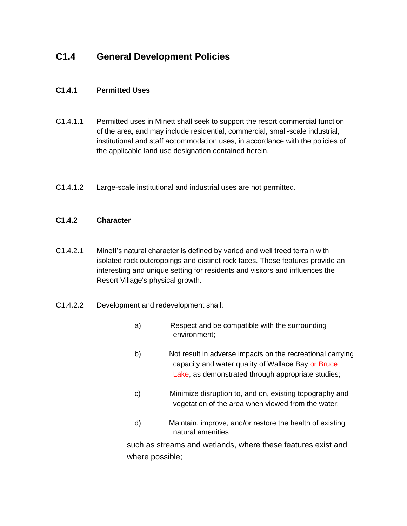## **C1.4 General Development Policies**

#### **C1.4.1 Permitted Uses**

- C1.4.1.1 Permitted uses in Minett shall seek to support the resort commercial function of the area, and may include residential, commercial, small-scale industrial, institutional and staff accommodation uses, in accordance with the policies of the applicable land use designation contained herein.
- C1.4.1.2 Large-scale institutional and industrial uses are not permitted.

#### **C1.4.2 Character**

- C1.4.2.1 Minett's natural character is defined by varied and well treed terrain with isolated rock outcroppings and distinct rock faces. These features provide an interesting and unique setting for residents and visitors and influences the Resort Village's physical growth.
- C1.4.2.2 Development and redevelopment shall:
	- a) Respect and be compatible with the surrounding environment;
	- b) Not result in adverse impacts on the recreational carrying capacity and water quality of Wallace Bay or Bruce Lake, as demonstrated through appropriate studies;
	- c) Minimize disruption to, and on, existing topography and vegetation of the area when viewed from the water;
	- d) Maintain, improve, and/or restore the health of existing natural amenities

such as streams and wetlands, where these features exist and where possible;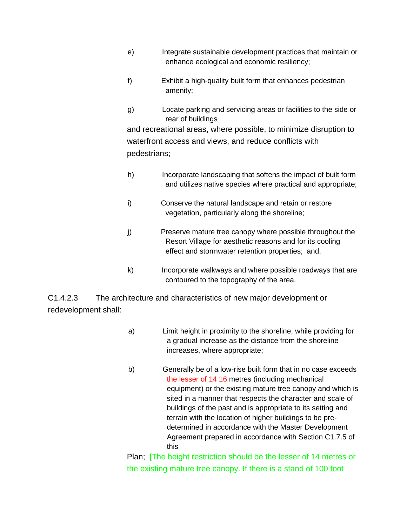- e) Integrate sustainable development practices that maintain or enhance ecological and economic resiliency;
- f) Exhibit a high-quality built form that enhances pedestrian amenity;
- g) Locate parking and servicing areas or facilities to the side or rear of buildings and recreational areas, where possible, to minimize disruption to waterfront access and views, and reduce conflicts with pedestrians;
- h) Incorporate landscaping that softens the impact of built form and utilizes native species where practical and appropriate;
- i) Conserve the natural landscape and retain or restore vegetation, particularly along the shoreline;
- j) Preserve mature tree canopy where possible throughout the Resort Village for aesthetic reasons and for its cooling effect and stormwater retention properties; and,
- k) Incorporate walkways and where possible roadways that are contoured to the topography of the area.

C1.4.2.3 The architecture and characteristics of new major development or redevelopment shall:

- a) Limit height in proximity to the shoreline, while providing for a gradual increase as the distance from the shoreline increases, where appropriate;
- b) Generally be of a low-rise built form that in no case exceeds the lesser of 14 16-metres (including mechanical equipment) or the existing mature tree canopy and which is sited in a manner that respects the character and scale of buildings of the past and is appropriate to its setting and terrain with the location of higher buildings to be predetermined in accordance with the Master Development Agreement prepared in accordance with Section C1.7.5 of this

Plan; [The height restriction should be the lesser of 14 metres or the existing mature tree canopy. If there is a stand of 100 foot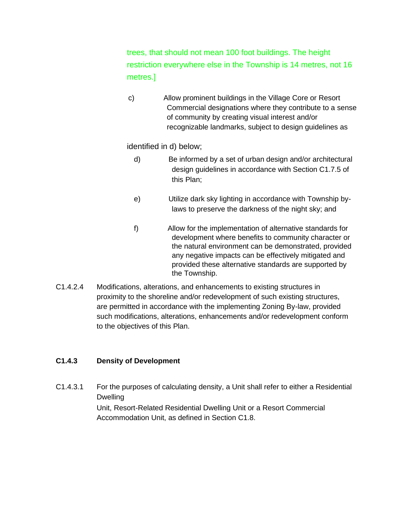trees, that should not mean 100 foot buildings. The height restriction everywhere else in the Township is 14 metres, not 16 metres.]

c) Allow prominent buildings in the Village Core or Resort Commercial designations where they contribute to a sense of community by creating visual interest and/or recognizable landmarks, subject to design guidelines as

identified in d) below;

- d) Be informed by a set of urban design and/or architectural design guidelines in accordance with Section C1.7.5 of this Plan;
- e) Utilize dark sky lighting in accordance with Township bylaws to preserve the darkness of the night sky; and
- f) Allow for the implementation of alternative standards for development where benefits to community character or the natural environment can be demonstrated, provided any negative impacts can be effectively mitigated and provided these alternative standards are supported by the Township.
- C1.4.2.4 Modifications, alterations, and enhancements to existing structures in proximity to the shoreline and/or redevelopment of such existing structures, are permitted in accordance with the implementing Zoning By-law, provided such modifications, alterations, enhancements and/or redevelopment conform to the objectives of this Plan.

#### **C1.4.3 Density of Development**

C1.4.3.1 For the purposes of calculating density, a Unit shall refer to either a Residential Dwelling Unit, Resort-Related Residential Dwelling Unit or a Resort Commercial Accommodation Unit, as defined in Section C1.8.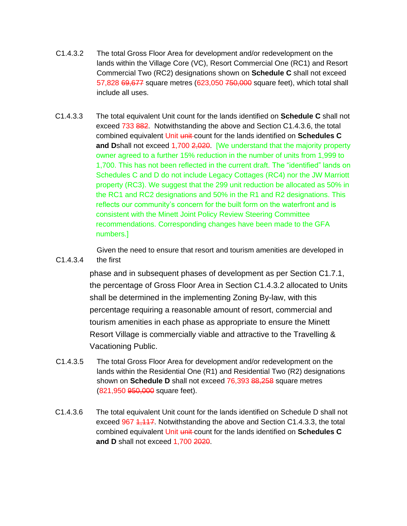- C1.4.3.2 The total Gross Floor Area for development and/or redevelopment on the lands within the Village Core (VC), Resort Commercial One (RC1) and Resort Commercial Two (RC2) designations shown on **Schedule C** shall not exceed 57,828 69,677 square metres (623,050 750,000 square feet), which total shall include all uses.
- C1.4.3.3 The total equivalent Unit count for the lands identified on **Schedule C** shall not exceed 733 882. Notwithstanding the above and Section C1.4.3.6, the total combined equivalent Unit unit count for the lands identified on **Schedules C and D**shall not exceed 1,700 2,020. [We understand that the majority property owner agreed to a further 15% reduction in the number of units from 1,999 to 1,700. This has not been reflected in the current draft. The "identified" lands on Schedules C and D do not include Legacy Cottages (RC4) nor the JW Marriott property (RC3). We suggest that the 299 unit reduction be allocated as 50% in the RC1 and RC2 designations and 50% in the R1 and R2 designations. This reflects our community's concern for the built form on the waterfront and is consistent with the Minett Joint Policy Review Steering Committee recommendations. Corresponding changes have been made to the GFA numbers.]

C1.4.3.4 Given the need to ensure that resort and tourism amenities are developed in the first

> phase and in subsequent phases of development as per Section C1.7.1, the percentage of Gross Floor Area in Section C1.4.3.2 allocated to Units shall be determined in the implementing Zoning By-law, with this percentage requiring a reasonable amount of resort, commercial and tourism amenities in each phase as appropriate to ensure the Minett Resort Village is commercially viable and attractive to the Travelling & Vacationing Public.

- C1.4.3.5 The total Gross Floor Area for development and/or redevelopment on the lands within the Residential One (R1) and Residential Two (R2) designations shown on **Schedule D** shall not exceed 76,393 88,258 square metres (821,950 950,000 square feet).
- C1.4.3.6 The total equivalent Unit count for the lands identified on Schedule D shall not exceed 967 1, 117. Notwithstanding the above and Section C1.4.3.3, the total combined equivalent Unit unit count for the lands identified on **Schedules C and D** shall not exceed 1,700 2020.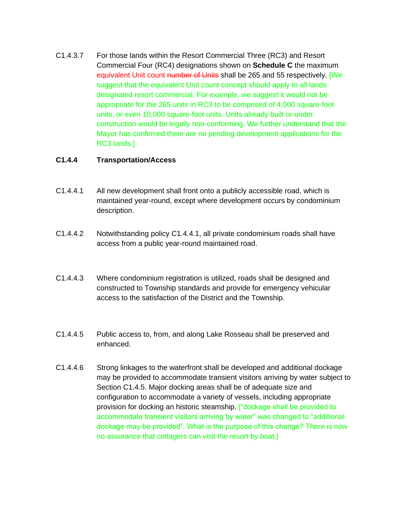C1.4.3.7 For those lands within the Resort Commercial Three (RC3) and Resort Commercial Four (RC4) designations shown on **Schedule C** the maximum equivalent Unit count number of Units shall be 265 and 55 respectively. [We suggest that the equivalent Unit count concept should apply to all lands designated resort commercial. For example, we suggest it would not be appropriate for the 265 units in RC3 to be comprised of 4,000 square-foot units, or even 10,000 square-foot units. Units already built or under construction would be legally non-conforming. We further understand that the Mayor has confirmed there are no pending development applications for the RC3 lands.]

#### **C1.4.4 Transportation/Access**

- C1.4.4.1 All new development shall front onto a publicly accessible road, which is maintained year-round, except where development occurs by condominium description.
- C1.4.4.2 Notwithstanding policy C1.4.4.1, all private condominium roads shall have access from a public year-round maintained road.
- C1.4.4.3 Where condominium registration is utilized, roads shall be designed and constructed to Township standards and provide for emergency vehicular access to the satisfaction of the District and the Township.
- C1.4.4.5 Public access to, from, and along Lake Rosseau shall be preserved and enhanced.
- C1.4.4.6 Strong linkages to the waterfront shall be developed and additional dockage may be provided to accommodate transient visitors arriving by water subject to Section C1.4.5. Major docking areas shall be of adequate size and configuration to accommodate a variety of vessels, including appropriate provision for docking an historic steamship. ["dockage shall be provided to accommodate transient visitors arriving by water" was changed to "additional dockage may be provided". What is the purpose of this change? There is now no assurance that cottagers can visit the resort by boat.]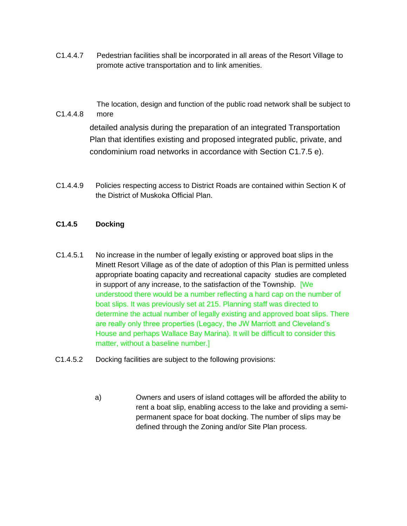C1.4.4.7 Pedestrian facilities shall be incorporated in all areas of the Resort Village to promote active transportation and to link amenities.

> The location, design and function of the public road network shall be subject to more

detailed analysis during the preparation of an integrated Transportation Plan that identifies existing and proposed integrated public, private, and condominium road networks in accordance with Section C1.7.5 e).

C1.4.4.9 Policies respecting access to District Roads are contained within Section K of the District of Muskoka Official Plan.

#### **C1.4.5 Docking**

C1.4.4.8

- C1.4.5.1 No increase in the number of legally existing or approved boat slips in the Minett Resort Village as of the date of adoption of this Plan is permitted unless appropriate boating capacity and recreational capacity studies are completed in support of any increase, to the satisfaction of the Township. [We understood there would be a number reflecting a hard cap on the number of boat slips. It was previously set at 215. Planning staff was directed to determine the actual number of legally existing and approved boat slips. There are really only three properties (Legacy, the JW Marriott and Cleveland's House and perhaps Wallace Bay Marina). It will be difficult to consider this matter, without a baseline number.]
- C1.4.5.2 Docking facilities are subject to the following provisions:
	- a) Owners and users of island cottages will be afforded the ability to rent a boat slip, enabling access to the lake and providing a semipermanent space for boat docking. The number of slips may be defined through the Zoning and/or Site Plan process.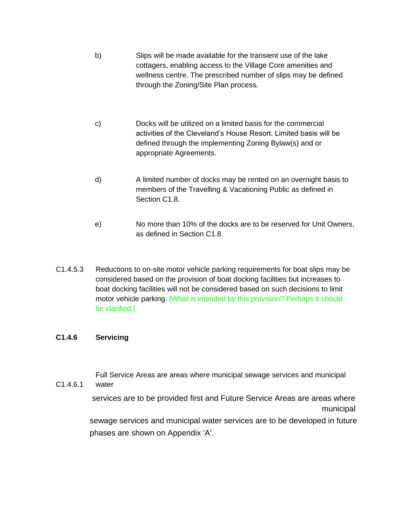- b) Slips will be made available for the transient use of the lake cottagers, enabling access to the Village Core amenities and wellness centre. The prescribed number of slips may be defined through the Zoning/Site Plan process.
- c) Docks will be utilized on a limited basis for the commercial activities of the Cleveland's House Resort. Limited basis will be defined through the implementing Zoning Bylaw(s) and or appropriate Agreements.
- d) A limited number of docks may be rented on an overnight basis to members of the Travelling & Vacationing Public as defined in Section C1.8.
- e) No more than 10% of the docks are to be reserved for Unit Owners, as defined in Section C1.8.
- C1.4.5.3 Reductions to on-site motor vehicle parking requirements for boat slips may be considered based on the provision of boat docking facilities but increases to boat docking facilities will not be considered based on such decisions to limit motor vehicle parking. [What is intended by this provision? Perhaps it should be clarified.]

#### **C1.4.6 Servicing**

C1.4.6.1

Full Service Areas are areas where municipal sewage services and municipal water

services are to be provided first and Future Service Areas are areas where municipal sewage services and municipal water services are to be developed in future phases are shown on Appendix 'A'.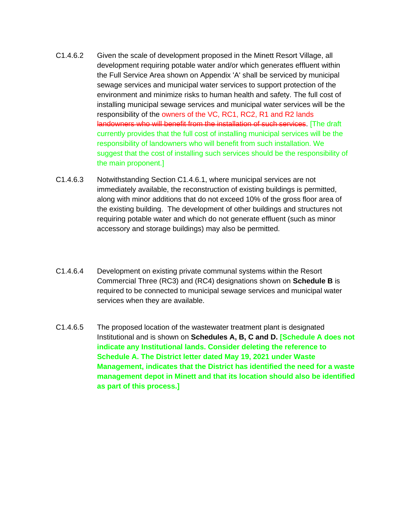- C1.4.6.2 Given the scale of development proposed in the Minett Resort Village, all development requiring potable water and/or which generates effluent within the Full Service Area shown on Appendix 'A' shall be serviced by municipal sewage services and municipal water services to support protection of the environment and minimize risks to human health and safety. The full cost of installing municipal sewage services and municipal water services will be the responsibility of the owners of the VC, RC1, RC2, R1 and R2 lands landowners who will benefit from the installation of such services. [The draft currently provides that the full cost of installing municipal services will be the responsibility of landowners who will benefit from such installation. We suggest that the cost of installing such services should be the responsibility of the main proponent.]
- C1.4.6.3 Notwithstanding Section C1.4.6.1, where municipal services are not immediately available, the reconstruction of existing buildings is permitted, along with minor additions that do not exceed 10% of the gross floor area of the existing building. The development of other buildings and structures not requiring potable water and which do not generate effluent (such as minor accessory and storage buildings) may also be permitted.
- C1.4.6.4 Development on existing private communal systems within the Resort Commercial Three (RC3) and (RC4) designations shown on **Schedule B** is required to be connected to municipal sewage services and municipal water services when they are available.
- C1.4.6.5 The proposed location of the wastewater treatment plant is designated Institutional and is shown on **Schedules A, B, C and D. [Schedule A does not indicate any Institutional lands. Consider deleting the reference to Schedule A. The District letter dated May 19, 2021 under Waste Management, indicates that the District has identified the need for a waste management depot in Minett and that its location should also be identified as part of this process.]**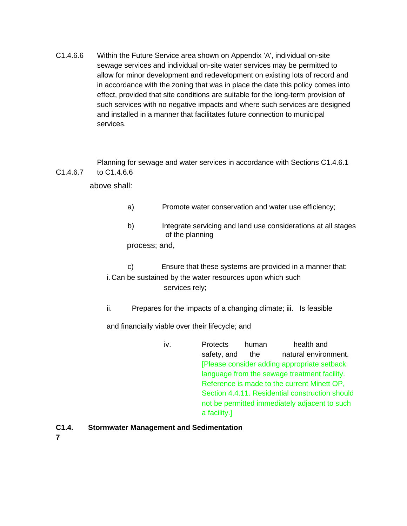C1.4.6.6 Within the Future Service area shown on Appendix 'A', individual on-site sewage services and individual on-site water services may be permitted to allow for minor development and redevelopment on existing lots of record and in accordance with the zoning that was in place the date this policy comes into effect, provided that site conditions are suitable for the long-term provision of such services with no negative impacts and where such services are designed and installed in a manner that facilitates future connection to municipal services.

C1.4.6.7 Planning for sewage and water services in accordance with Sections C1.4.6.1 to C1.4.6.6

above shall:

- a) Promote water conservation and water use efficiency;
- b) Integrate servicing and land use considerations at all stages of the planning

process; and,

c) Ensure that these systems are provided in a manner that: i. Can be sustained by the water resources upon which such services rely;

ii. Prepares for the impacts of a changing climate; iii. Is feasible

and financially viable over their lifecycle; and

iv. Protects human health and safety, and the natural environment. [Please consider adding appropriate setback language from the sewage treatment facility. Reference is made to the current Minett OP, Section 4.4.11. Residential construction should not be permitted immediately adjacent to such a facility.]

#### **C1.4. Stormwater Management and Sedimentation**

**7**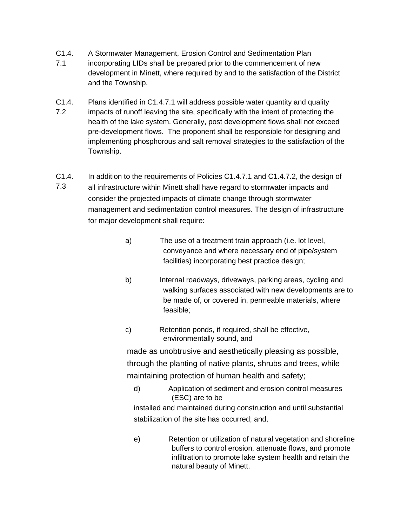- C1.4. A Stormwater Management, Erosion Control and Sedimentation Plan
- 7.1 incorporating LIDs shall be prepared prior to the commencement of new development in Minett, where required by and to the satisfaction of the District and the Township.
- C1.4. 7.2 Plans identified in C1.4.7.1 will address possible water quantity and quality impacts of runoff leaving the site, specifically with the intent of protecting the health of the lake system. Generally, post development flows shall not exceed pre-development flows. The proponent shall be responsible for designing and implementing phosphorous and salt removal strategies to the satisfaction of the Township.
- C1.4. In addition to the requirements of Policies C1.4.7.1 and C1.4.7.2, the design of
- 7.3 all infrastructure within Minett shall have regard to stormwater impacts and consider the projected impacts of climate change through stormwater management and sedimentation control measures. The design of infrastructure for major development shall require:
	- a) The use of a treatment train approach (i.e. lot level, conveyance and where necessary end of pipe/system facilities) incorporating best practice design;
	- b) Internal roadways, driveways, parking areas, cycling and walking surfaces associated with new developments are to be made of, or covered in, permeable materials, where feasible;
	- c) Retention ponds, if required, shall be effective, environmentally sound, and

made as unobtrusive and aesthetically pleasing as possible, through the planting of native plants, shrubs and trees, while maintaining protection of human health and safety;

d) Application of sediment and erosion control measures (ESC) are to be

installed and maintained during construction and until substantial stabilization of the site has occurred; and,

e) Retention or utilization of natural vegetation and shoreline buffers to control erosion, attenuate flows, and promote infiltration to promote lake system health and retain the natural beauty of Minett.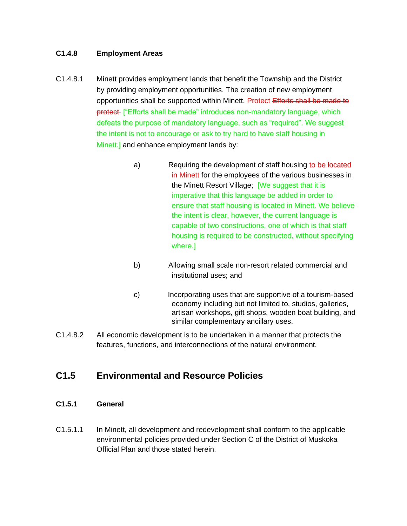#### **C1.4.8 Employment Areas**

- C1.4.8.1 Minett provides employment lands that benefit the Township and the District by providing employment opportunities. The creation of new employment opportunities shall be supported within Minett. Protect Efforts shall be made to protect ["Efforts shall be made" introduces non-mandatory language, which defeats the purpose of mandatory language, such as "required". We suggest the intent is not to encourage or ask to try hard to have staff housing in Minett.] and enhance employment lands by:
	- a) Requiring the development of staff housing to be located in Minett for the employees of the various businesses in the Minett Resort Village; [We suggest that it is imperative that this language be added in order to ensure that staff housing is located in Minett. We believe the intent is clear, however, the current language is capable of two constructions, one of which is that staff housing is required to be constructed, without specifying where.]
	- b) Allowing small scale non-resort related commercial and institutional uses; and
	- c) Incorporating uses that are supportive of a tourism-based economy including but not limited to, studios, galleries, artisan workshops, gift shops, wooden boat building, and similar complementary ancillary uses.
- C1.4.8.2 All economic development is to be undertaken in a manner that protects the features, functions, and interconnections of the natural environment.

### **C1.5 Environmental and Resource Policies**

- **C1.5.1 General**
- C1.5.1.1 In Minett, all development and redevelopment shall conform to the applicable environmental policies provided under Section C of the District of Muskoka Official Plan and those stated herein.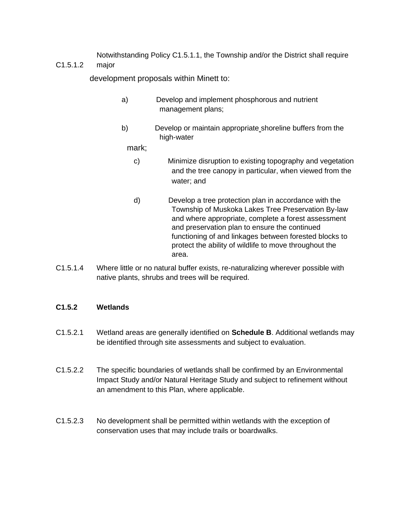C1.5.1.2 Notwithstanding Policy C1.5.1.1, the Township and/or the District shall require major

development proposals within Minett to:

- a) Develop and implement phosphorous and nutrient management plans;
- b) Develop or maintain appropriate shoreline buffers from the high-water

mark;

- c) Minimize disruption to existing topography and vegetation and the tree canopy in particular, when viewed from the water; and
- d) Develop a tree protection plan in accordance with the Township of Muskoka Lakes Tree Preservation By-law and where appropriate, complete a forest assessment and preservation plan to ensure the continued functioning of and linkages between forested blocks to protect the ability of wildlife to move throughout the area.
- C1.5.1.4 Where little or no natural buffer exists, re-naturalizing wherever possible with native plants, shrubs and trees will be required.

#### **C1.5.2 Wetlands**

- C1.5.2.1 Wetland areas are generally identified on **Schedule B**. Additional wetlands may be identified through site assessments and subject to evaluation.
- C1.5.2.2 The specific boundaries of wetlands shall be confirmed by an Environmental Impact Study and/or Natural Heritage Study and subject to refinement without an amendment to this Plan, where applicable.
- C1.5.2.3 No development shall be permitted within wetlands with the exception of conservation uses that may include trails or boardwalks.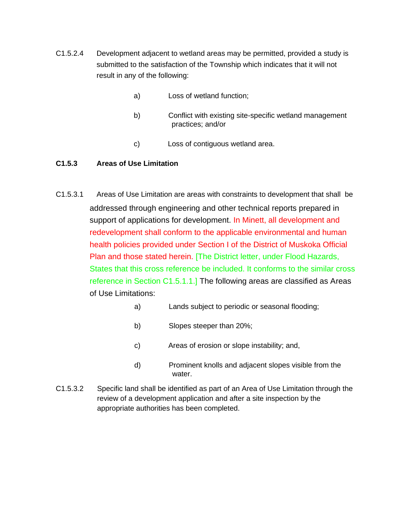- C1.5.2.4 Development adjacent to wetland areas may be permitted, provided a study is submitted to the satisfaction of the Township which indicates that it will not result in any of the following:
	- a) Loss of wetland function;
	- b) Conflict with existing site-specific wetland management practices; and/or
	- c) Loss of contiguous wetland area.

#### **C1.5.3 Areas of Use Limitation**

- C1.5.3.1 Areas of Use Limitation are areas with constraints to development that shall be addressed through engineering and other technical reports prepared in support of applications for development. In Minett, all development and redevelopment shall conform to the applicable environmental and human health policies provided under Section I of the District of Muskoka Official Plan and those stated herein. [The District letter, under Flood Hazards, States that this cross reference be included. It conforms to the similar cross reference in Section C1.5.1.1.] The following areas are classified as Areas of Use Limitations:
	- a) Lands subject to periodic or seasonal flooding;
	- b) Slopes steeper than 20%;
	- c) Areas of erosion or slope instability; and,
	- d) Prominent knolls and adjacent slopes visible from the water.
- C1.5.3.2 Specific land shall be identified as part of an Area of Use Limitation through the review of a development application and after a site inspection by the appropriate authorities has been completed.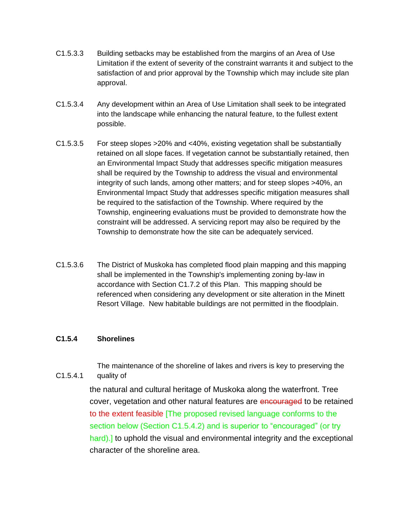- C1.5.3.3 Building setbacks may be established from the margins of an Area of Use Limitation if the extent of severity of the constraint warrants it and subject to the satisfaction of and prior approval by the Township which may include site plan approval.
- C1.5.3.4 Any development within an Area of Use Limitation shall seek to be integrated into the landscape while enhancing the natural feature, to the fullest extent possible.
- C1.5.3.5 For steep slopes >20% and <40%, existing vegetation shall be substantially retained on all slope faces. If vegetation cannot be substantially retained, then an Environmental Impact Study that addresses specific mitigation measures shall be required by the Township to address the visual and environmental integrity of such lands, among other matters; and for steep slopes >40%, an Environmental Impact Study that addresses specific mitigation measures shall be required to the satisfaction of the Township. Where required by the Township, engineering evaluations must be provided to demonstrate how the constraint will be addressed. A servicing report may also be required by the Township to demonstrate how the site can be adequately serviced.
- C1.5.3.6 The District of Muskoka has completed flood plain mapping and this mapping shall be implemented in the Township's implementing zoning by-law in accordance with Section C1.7.2 of this Plan. This mapping should be referenced when considering any development or site alteration in the Minett Resort Village. New habitable buildings are not permitted in the floodplain.

#### **C1.5.4 Shorelines**

C1.5.4.1

The maintenance of the shoreline of lakes and rivers is key to preserving the quality of

the natural and cultural heritage of Muskoka along the waterfront. Tree cover, vegetation and other natural features are encouraged to be retained to the extent feasible [The proposed revised language conforms to the section below (Section C1.5.4.2) and is superior to "encouraged" (or try hard).] to uphold the visual and environmental integrity and the exceptional character of the shoreline area.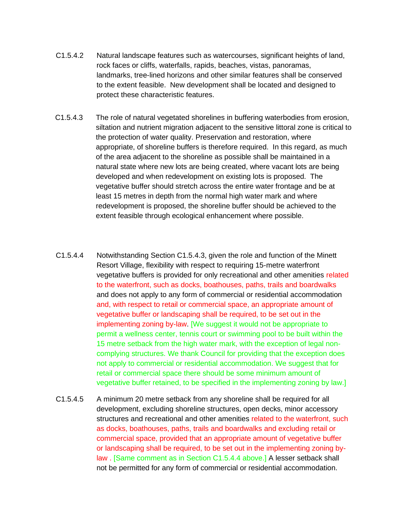- C1.5.4.2 Natural landscape features such as watercourses, significant heights of land, rock faces or cliffs, waterfalls, rapids, beaches, vistas, panoramas, landmarks, tree-lined horizons and other similar features shall be conserved to the extent feasible. New development shall be located and designed to protect these characteristic features.
- C1.5.4.3 The role of natural vegetated shorelines in buffering waterbodies from erosion, siltation and nutrient migration adjacent to the sensitive littoral zone is critical to the protection of water quality. Preservation and restoration, where appropriate, of shoreline buffers is therefore required. In this regard, as much of the area adjacent to the shoreline as possible shall be maintained in a natural state where new lots are being created, where vacant lots are being developed and when redevelopment on existing lots is proposed. The vegetative buffer should stretch across the entire water frontage and be at least 15 metres in depth from the normal high water mark and where redevelopment is proposed, the shoreline buffer should be achieved to the extent feasible through ecological enhancement where possible.
- C1.5.4.4 Notwithstanding Section C1.5.4.3, given the role and function of the Minett Resort Village, flexibility with respect to requiring 15-metre waterfront vegetative buffers is provided for only recreational and other amenities related to the waterfront, such as docks, boathouses, paths, trails and boardwalks and does not apply to any form of commercial or residential accommodation and, with respect to retail or commercial space, an appropriate amount of vegetative buffer or landscaping shall be required, to be set out in the implementing zoning by-law. [We suggest it would not be appropriate to permit a wellness center, tennis court or swimming pool to be built within the 15 metre setback from the high water mark, with the exception of legal noncomplying structures. We thank Council for providing that the exception does not apply to commercial or residential accommodation. We suggest that for retail or commercial space there should be some minimum amount of vegetative buffer retained, to be specified in the implementing zoning by law.]
- C1.5.4.5 A minimum 20 metre setback from any shoreline shall be required for all development, excluding shoreline structures, open decks, minor accessory structures and recreational and other amenities related to the waterfront, such as docks, boathouses, paths, trails and boardwalks and excluding retail or commercial space, provided that an appropriate amount of vegetative buffer or landscaping shall be required, to be set out in the implementing zoning bylaw . [Same comment as in Section C1.5.4.4 above.] A lesser setback shall not be permitted for any form of commercial or residential accommodation.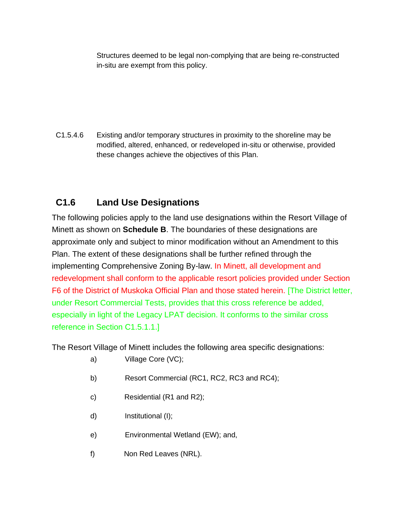Structures deemed to be legal non-complying that are being re-constructed in-situ are exempt from this policy.

C1.5.4.6 Existing and/or temporary structures in proximity to the shoreline may be modified, altered, enhanced, or redeveloped in-situ or otherwise, provided these changes achieve the objectives of this Plan.

## **C1.6 Land Use Designations**

The following policies apply to the land use designations within the Resort Village of Minett as shown on **Schedule B**. The boundaries of these designations are approximate only and subject to minor modification without an Amendment to this Plan. The extent of these designations shall be further refined through the implementing Comprehensive Zoning By-law. In Minett, all development and redevelopment shall conform to the applicable resort policies provided under Section F6 of the District of Muskoka Official Plan and those stated herein. [The District letter, under Resort Commercial Tests, provides that this cross reference be added, especially in light of the Legacy LPAT decision. It conforms to the similar cross reference in Section C1.5.1.1.]

The Resort Village of Minett includes the following area specific designations:

- a) Village Core (VC);
- b) Resort Commercial (RC1, RC2, RC3 and RC4);
- c) Residential (R1 and R2);
- d) Institutional (I);
- e) Environmental Wetland (EW); and,
- f) Non Red Leaves (NRL).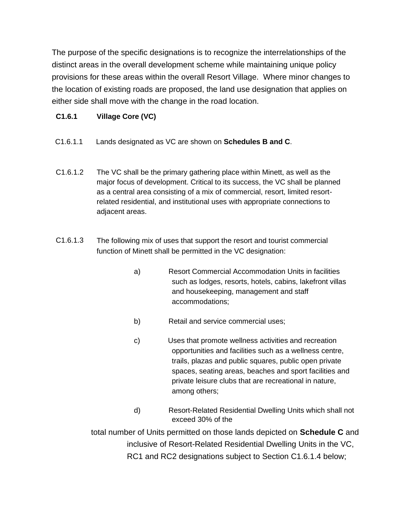The purpose of the specific designations is to recognize the interrelationships of the distinct areas in the overall development scheme while maintaining unique policy provisions for these areas within the overall Resort Village. Where minor changes to the location of existing roads are proposed, the land use designation that applies on either side shall move with the change in the road location.

#### **C1.6.1 Village Core (VC)**

- C1.6.1.1 Lands designated as VC are shown on **Schedules B and C**.
- C1.6.1.2 The VC shall be the primary gathering place within Minett, as well as the major focus of development. Critical to its success, the VC shall be planned as a central area consisting of a mix of commercial, resort, limited resortrelated residential, and institutional uses with appropriate connections to adjacent areas.
- C1.6.1.3 The following mix of uses that support the resort and tourist commercial function of Minett shall be permitted in the VC designation:
	- a) Resort Commercial Accommodation Units in facilities such as lodges, resorts, hotels, cabins, lakefront villas and housekeeping, management and staff accommodations;
	- b) Retail and service commercial uses;
	- c) Uses that promote wellness activities and recreation opportunities and facilities such as a wellness centre, trails, plazas and public squares, public open private spaces, seating areas, beaches and sport facilities and private leisure clubs that are recreational in nature, among others;
	- d) Resort-Related Residential Dwelling Units which shall not exceed 30% of the

total number of Units permitted on those lands depicted on **Schedule C** and inclusive of Resort-Related Residential Dwelling Units in the VC, RC1 and RC2 designations subject to Section C1.6.1.4 below;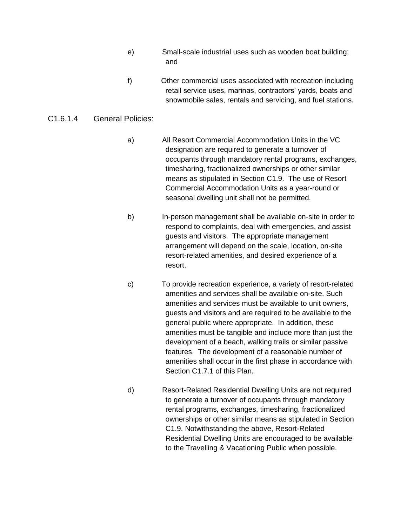- e) Small-scale industrial uses such as wooden boat building; and
- f) Other commercial uses associated with recreation including retail service uses, marinas, contractors' yards, boats and snowmobile sales, rentals and servicing, and fuel stations.

#### C1.6.1.4 General Policies:

- a) All Resort Commercial Accommodation Units in the VC designation are required to generate a turnover of occupants through mandatory rental programs, exchanges, timesharing, fractionalized ownerships or other similar means as stipulated in Section C1.9. The use of Resort Commercial Accommodation Units as a year-round or seasonal dwelling unit shall not be permitted.
- b) In-person management shall be available on-site in order to respond to complaints, deal with emergencies, and assist guests and visitors. The appropriate management arrangement will depend on the scale, location, on-site resort-related amenities, and desired experience of a resort.
- c) To provide recreation experience, a variety of resort-related amenities and services shall be available on-site. Such amenities and services must be available to unit owners, guests and visitors and are required to be available to the general public where appropriate. In addition, these amenities must be tangible and include more than just the development of a beach, walking trails or similar passive features. The development of a reasonable number of amenities shall occur in the first phase in accordance with Section C1.7.1 of this Plan.
- d) Resort-Related Residential Dwelling Units are not required to generate a turnover of occupants through mandatory rental programs, exchanges, timesharing, fractionalized ownerships or other similar means as stipulated in Section C1.9. Notwithstanding the above, Resort-Related Residential Dwelling Units are encouraged to be available to the Travelling & Vacationing Public when possible.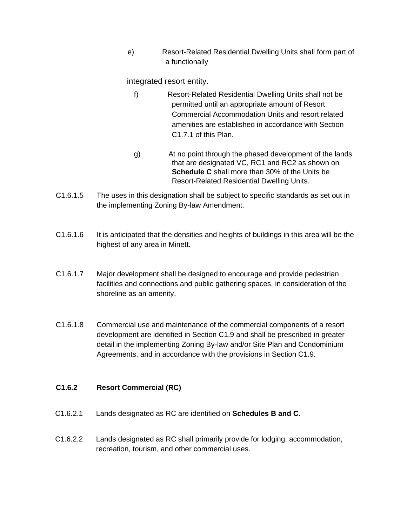e) Resort-Related Residential Dwelling Units shall form part of a functionally

integrated resort entity.

- f) Resort-Related Residential Dwelling Units shall not be permitted until an appropriate amount of Resort Commercial Accommodation Units and resort related amenities are established in accordance with Section C1.7.1 of this Plan.
- g) At no point through the phased development of the lands that are designated VC, RC1 and RC2 as shown on **Schedule C** shall more than 30% of the Units be Resort-Related Residential Dwelling Units.
- C1.6.1.5 The uses in this designation shall be subject to specific standards as set out in the implementing Zoning By-law Amendment.
- C1.6.1.6 It is anticipated that the densities and heights of buildings in this area will be the highest of any area in Minett.
- C1.6.1.7 Major development shall be designed to encourage and provide pedestrian facilities and connections and public gathering spaces, in consideration of the shoreline as an amenity.
- C1.6.1.8 Commercial use and maintenance of the commercial components of a resort development are identified in Section C1.9 and shall be prescribed in greater detail in the implementing Zoning By-law and/or Site Plan and Condominium Agreements, and in accordance with the provisions in Section C1.9.

#### **C1.6.2 Resort Commercial (RC)**

- C1.6.2.1 Lands designated as RC are identified on **Schedules B and C.**
- C1.6.2.2 Lands designated as RC shall primarily provide for lodging, accommodation, recreation, tourism, and other commercial uses.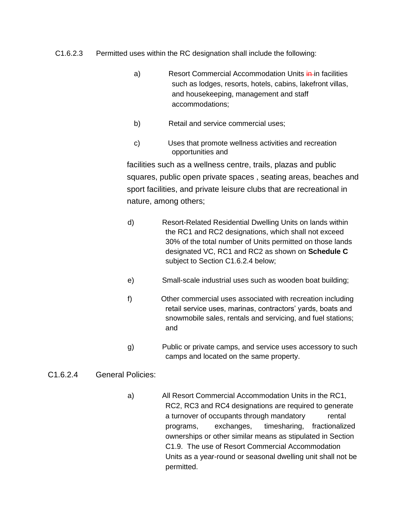- C1.6.2.3 Permitted uses within the RC designation shall include the following:
	- a) Resort Commercial Accommodation Units in in facilities such as lodges, resorts, hotels, cabins, lakefront villas, and housekeeping, management and staff accommodations;
	- b) Retail and service commercial uses;
	- c) Uses that promote wellness activities and recreation opportunities and

facilities such as a wellness centre, trails, plazas and public squares, public open private spaces , seating areas, beaches and sport facilities, and private leisure clubs that are recreational in nature, among others;

- d) Resort-Related Residential Dwelling Units on lands within the RC1 and RC2 designations, which shall not exceed 30% of the total number of Units permitted on those lands designated VC, RC1 and RC2 as shown on **Schedule C** subject to Section C1.6.2.4 below;
- e) Small-scale industrial uses such as wooden boat building;
- f) Other commercial uses associated with recreation including retail service uses, marinas, contractors' yards, boats and snowmobile sales, rentals and servicing, and fuel stations; and
- g) Public or private camps, and service uses accessory to such camps and located on the same property.

#### C1.6.2.4 General Policies:

a) All Resort Commercial Accommodation Units in the RC1, RC2, RC3 and RC4 designations are required to generate a turnover of occupants through mandatory rental programs, exchanges, timesharing, fractionalized ownerships or other similar means as stipulated in Section C1.9. The use of Resort Commercial Accommodation Units as a year-round or seasonal dwelling unit shall not be permitted.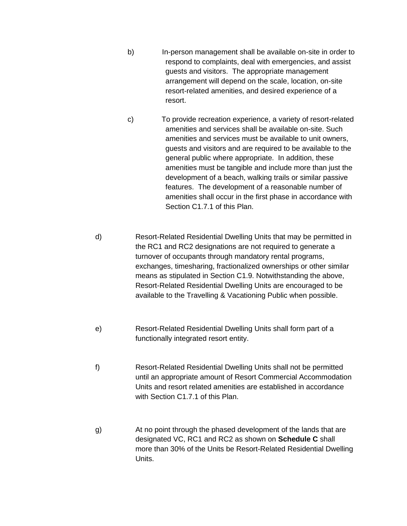- b) In-person management shall be available on-site in order to respond to complaints, deal with emergencies, and assist guests and visitors. The appropriate management arrangement will depend on the scale, location, on-site resort-related amenities, and desired experience of a resort.
- c) To provide recreation experience, a variety of resort-related amenities and services shall be available on-site. Such amenities and services must be available to unit owners, guests and visitors and are required to be available to the general public where appropriate. In addition, these amenities must be tangible and include more than just the development of a beach, walking trails or similar passive features. The development of a reasonable number of amenities shall occur in the first phase in accordance with Section C1.7.1 of this Plan.
- d) Resort-Related Residential Dwelling Units that may be permitted in the RC1 and RC2 designations are not required to generate a turnover of occupants through mandatory rental programs, exchanges, timesharing, fractionalized ownerships or other similar means as stipulated in Section C1.9. Notwithstanding the above, Resort-Related Residential Dwelling Units are encouraged to be available to the Travelling & Vacationing Public when possible.
- e) Resort-Related Residential Dwelling Units shall form part of a functionally integrated resort entity.
- f) Resort-Related Residential Dwelling Units shall not be permitted until an appropriate amount of Resort Commercial Accommodation Units and resort related amenities are established in accordance with Section C1.7.1 of this Plan.
- g) At no point through the phased development of the lands that are designated VC, RC1 and RC2 as shown on **Schedule C** shall more than 30% of the Units be Resort-Related Residential Dwelling Units.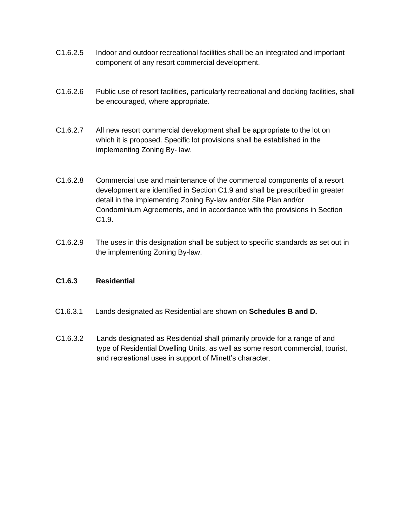- C1.6.2.5 Indoor and outdoor recreational facilities shall be an integrated and important component of any resort commercial development.
- C1.6.2.6 Public use of resort facilities, particularly recreational and docking facilities, shall be encouraged, where appropriate.
- C1.6.2.7 All new resort commercial development shall be appropriate to the lot on which it is proposed. Specific lot provisions shall be established in the implementing Zoning By- law.
- C1.6.2.8 Commercial use and maintenance of the commercial components of a resort development are identified in Section C1.9 and shall be prescribed in greater detail in the implementing Zoning By-law and/or Site Plan and/or Condominium Agreements, and in accordance with the provisions in Section C1.9.
- C1.6.2.9 The uses in this designation shall be subject to specific standards as set out in the implementing Zoning By-law.

#### **C1.6.3 Residential**

- C1.6.3.1 Lands designated as Residential are shown on **Schedules B and D.**
- C1.6.3.2 Lands designated as Residential shall primarily provide for a range of and type of Residential Dwelling Units, as well as some resort commercial, tourist, and recreational uses in support of Minett's character.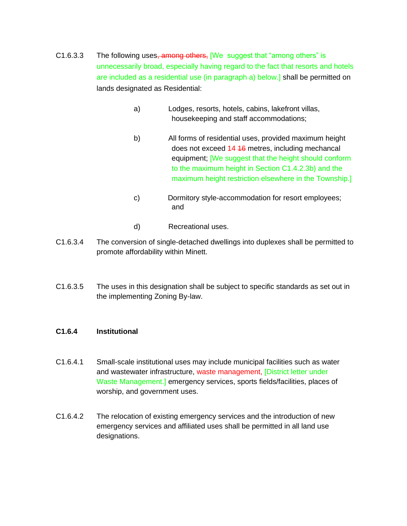- C1.6.3.3 The following uses, among others, We suggest that "among others" is unnecessarily broad, especially having regard to the fact that resorts and hotels are included as a residential use (in paragraph a) below.] shall be permitted on lands designated as Residential:
	- a) Lodges, resorts, hotels, cabins, lakefront villas, housekeeping and staff accommodations;
	- b) All forms of residential uses, provided maximum height does not exceed 14 16 metres, including mechancal equipment; [We suggest that the height should conform to the maximum height in Section C1.4.2.3b) and the maximum height restriction elsewhere in the Township.]
	- c) Dormitory style-accommodation for resort employees; and
	- d) Recreational uses.
- C1.6.3.4 The conversion of single-detached dwellings into duplexes shall be permitted to promote affordability within Minett.
- C1.6.3.5 The uses in this designation shall be subject to specific standards as set out in the implementing Zoning By-law.

#### **C1.6.4 Institutional**

- C1.6.4.1 Small-scale institutional uses may include municipal facilities such as water and wastewater infrastructure, waste management, [District letter under Waste Management.] emergency services, sports fields/facilities, places of worship, and government uses.
- C1.6.4.2 The relocation of existing emergency services and the introduction of new emergency services and affiliated uses shall be permitted in all land use designations.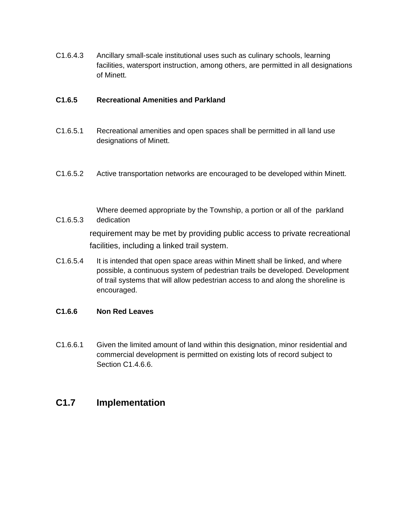C1.6.4.3 Ancillary small-scale institutional uses such as culinary schools, learning facilities, watersport instruction, among others, are permitted in all designations of Minett.

#### **C1.6.5 Recreational Amenities and Parkland**

- C1.6.5.1 Recreational amenities and open spaces shall be permitted in all land use designations of Minett.
- C1.6.5.2 Active transportation networks are encouraged to be developed within Minett.
- C1.6.5.3 Where deemed appropriate by the Township, a portion or all of the parkland dedication requirement may be met by providing public access to private recreational facilities, including a linked trail system.
- C1.6.5.4 It is intended that open space areas within Minett shall be linked, and where possible, a continuous system of pedestrian trails be developed. Development of trail systems that will allow pedestrian access to and along the shoreline is encouraged.

#### **C1.6.6 Non Red Leaves**

C1.6.6.1 Given the limited amount of land within this designation, minor residential and commercial development is permitted on existing lots of record subject to Section C1.4.6.6.

### **C1.7 Implementation**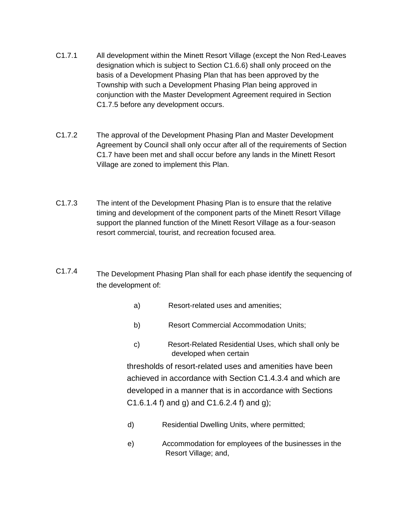- C1.7.1 All development within the Minett Resort Village (except the Non Red-Leaves designation which is subject to Section C1.6.6) shall only proceed on the basis of a Development Phasing Plan that has been approved by the Township with such a Development Phasing Plan being approved in conjunction with the Master Development Agreement required in Section C1.7.5 before any development occurs.
- C1.7.2 The approval of the Development Phasing Plan and Master Development Agreement by Council shall only occur after all of the requirements of Section C1.7 have been met and shall occur before any lands in the Minett Resort Village are zoned to implement this Plan.
- C1.7.3 The intent of the Development Phasing Plan is to ensure that the relative timing and development of the component parts of the Minett Resort Village support the planned function of the Minett Resort Village as a four-season resort commercial, tourist, and recreation focused area.
- C1.7.4 The Development Phasing Plan shall for each phase identify the sequencing of the development of:
	- a) Resort-related uses and amenities;
	- b) Resort Commercial Accommodation Units;
	- c) Resort-Related Residential Uses, which shall only be developed when certain

thresholds of resort-related uses and amenities have been achieved in accordance with Section C1.4.3.4 and which are developed in a manner that is in accordance with Sections  $C1.6.1.4$  f) and g) and  $C1.6.2.4$  f) and g);

- d) Residential Dwelling Units, where permitted;
- e) Accommodation for employees of the businesses in the Resort Village; and,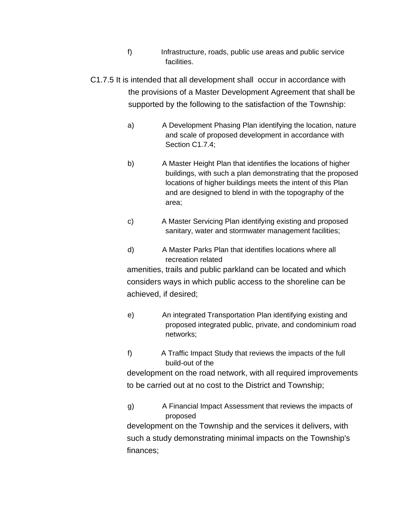- f) Infrastructure, roads, public use areas and public service facilities.
- C1.7.5 It is intended that all development shall occur in accordance with the provisions of a Master Development Agreement that shall be supported by the following to the satisfaction of the Township:
	- a) A Development Phasing Plan identifying the location, nature and scale of proposed development in accordance with Section C1.7.4;
	- b) A Master Height Plan that identifies the locations of higher buildings, with such a plan demonstrating that the proposed locations of higher buildings meets the intent of this Plan and are designed to blend in with the topography of the area;
	- c) A Master Servicing Plan identifying existing and proposed sanitary, water and stormwater management facilities;
	- d) A Master Parks Plan that identifies locations where all recreation related

amenities, trails and public parkland can be located and which considers ways in which public access to the shoreline can be achieved, if desired;

- e) An integrated Transportation Plan identifying existing and proposed integrated public, private, and condominium road networks;
- f) A Traffic Impact Study that reviews the impacts of the full build-out of the

development on the road network, with all required improvements to be carried out at no cost to the District and Township;

g) A Financial Impact Assessment that reviews the impacts of proposed

development on the Township and the services it delivers, with such a study demonstrating minimal impacts on the Township's finances;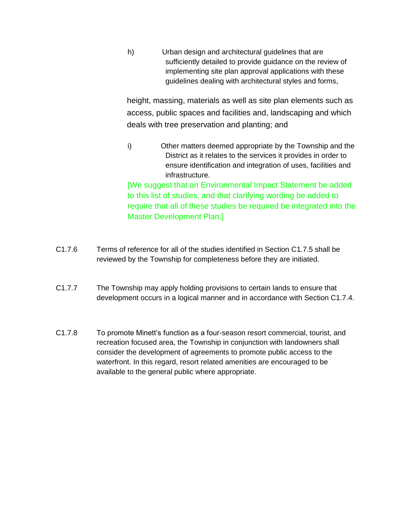h) Urban design and architectural guidelines that are sufficiently detailed to provide guidance on the review of implementing site plan approval applications with these guidelines dealing with architectural styles and forms,

height, massing, materials as well as site plan elements such as access, public spaces and facilities and, landscaping and which deals with tree preservation and planting; and

i) Other matters deemed appropriate by the Township and the District as it relates to the services it provides in order to ensure identification and integration of uses, facilities and infrastructure.

[We suggest that an Environmental Impact Statement be added to this list of studies, and that clarifying wording be added to require that all of these studies be required be integrated into the Master Development Plan.]

- C1.7.6 Terms of reference for all of the studies identified in Section C1.7.5 shall be reviewed by the Township for completeness before they are initiated.
- C1.7.7 The Township may apply holding provisions to certain lands to ensure that development occurs in a logical manner and in accordance with Section C1.7.4.
- C1.7.8 To promote Minett's function as a four-season resort commercial, tourist, and recreation focused area, the Township in conjunction with landowners shall consider the development of agreements to promote public access to the waterfront. In this regard, resort related amenities are encouraged to be available to the general public where appropriate.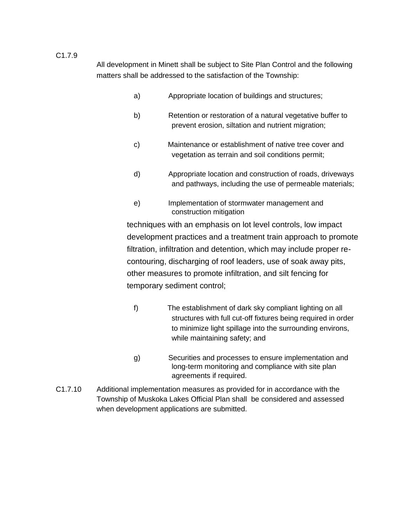All development in Minett shall be subject to Site Plan Control and the following matters shall be addressed to the satisfaction of the Township:

- a) Appropriate location of buildings and structures;
- b) Retention or restoration of a natural vegetative buffer to prevent erosion, siltation and nutrient migration;
- c) Maintenance or establishment of native tree cover and vegetation as terrain and soil conditions permit;
- d) Appropriate location and construction of roads, driveways and pathways, including the use of permeable materials;
- e) Implementation of stormwater management and construction mitigation

techniques with an emphasis on lot level controls, low impact development practices and a treatment train approach to promote filtration, infiltration and detention, which may include proper recontouring, discharging of roof leaders, use of soak away pits, other measures to promote infiltration, and silt fencing for temporary sediment control;

- f) The establishment of dark sky compliant lighting on all structures with full cut-off fixtures being required in order to minimize light spillage into the surrounding environs, while maintaining safety; and
- g) Securities and processes to ensure implementation and long-term monitoring and compliance with site plan agreements if required.
- C1.7.10 Additional implementation measures as provided for in accordance with the Township of Muskoka Lakes Official Plan shall be considered and assessed when development applications are submitted.

#### C1.7.9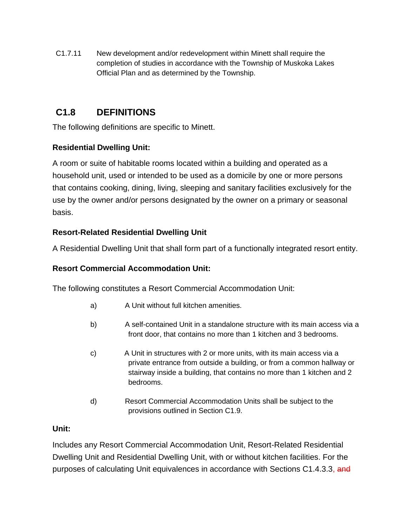C1.7.11 New development and/or redevelopment within Minett shall require the completion of studies in accordance with the Township of Muskoka Lakes Official Plan and as determined by the Township.

## **C1.8 DEFINITIONS**

The following definitions are specific to Minett.

### **Residential Dwelling Unit:**

A room or suite of habitable rooms located within a building and operated as a household unit, used or intended to be used as a domicile by one or more persons that contains cooking, dining, living, sleeping and sanitary facilities exclusively for the use by the owner and/or persons designated by the owner on a primary or seasonal basis.

### **Resort-Related Residential Dwelling Unit**

A Residential Dwelling Unit that shall form part of a functionally integrated resort entity.

### **Resort Commercial Accommodation Unit:**

The following constitutes a Resort Commercial Accommodation Unit:

- a) A Unit without full kitchen amenities.
- b) A self-contained Unit in a standalone structure with its main access via a front door, that contains no more than 1 kitchen and 3 bedrooms.
- c) A Unit in structures with 2 or more units, with its main access via a private entrance from outside a building, or from a common hallway or stairway inside a building, that contains no more than 1 kitchen and 2 bedrooms.
- d) Resort Commercial Accommodation Units shall be subject to the provisions outlined in Section C1.9.

### **Unit:**

Includes any Resort Commercial Accommodation Unit, Resort-Related Residential Dwelling Unit and Residential Dwelling Unit, with or without kitchen facilities. For the purposes of calculating Unit equivalences in accordance with Sections C1.4.3.3, and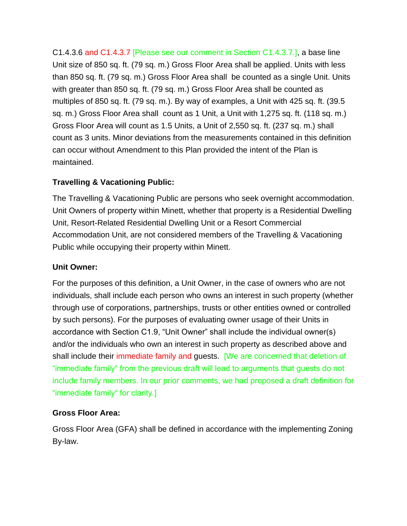C1.4.3.6 and C1.4.3.7 [Please see our comment in Section C1.4.3.7.], a base line Unit size of 850 sq. ft. (79 sq. m.) Gross Floor Area shall be applied. Units with less than 850 sq. ft. (79 sq. m.) Gross Floor Area shall be counted as a single Unit. Units with greater than 850 sq. ft. (79 sq. m.) Gross Floor Area shall be counted as multiples of 850 sq. ft. (79 sq. m.). By way of examples, a Unit with 425 sq. ft. (39.5 sq. m.) Gross Floor Area shall count as 1 Unit, a Unit with 1,275 sq. ft. (118 sq. m.) Gross Floor Area will count as 1.5 Units, a Unit of 2,550 sq. ft. (237 sq. m.) shall count as 3 units. Minor deviations from the measurements contained in this definition can occur without Amendment to this Plan provided the intent of the Plan is maintained.

### **Travelling & Vacationing Public:**

The Travelling & Vacationing Public are persons who seek overnight accommodation. Unit Owners of property within Minett, whether that property is a Residential Dwelling Unit, Resort-Related Residential Dwelling Unit or a Resort Commercial Accommodation Unit, are not considered members of the Travelling & Vacationing Public while occupying their property within Minett.

### **Unit Owner:**

For the purposes of this definition, a Unit Owner, in the case of owners who are not individuals, shall include each person who owns an interest in such property (whether through use of corporations, partnerships, trusts or other entities owned or controlled by such persons). For the purposes of evaluating owner usage of their Units in accordance with Section C1.9, "Unit Owner" shall include the individual owner(s) and/or the individuals who own an interest in such property as described above and shall include their immediate family and guests. [We are concerned that deletion of "immediate family" from the previous draft will lead to arguments that guests do not include family members. In our prior comments, we had proposed a draft definition for "immediate family" for clarity.]

### **Gross Floor Area:**

Gross Floor Area (GFA) shall be defined in accordance with the implementing Zoning By-law.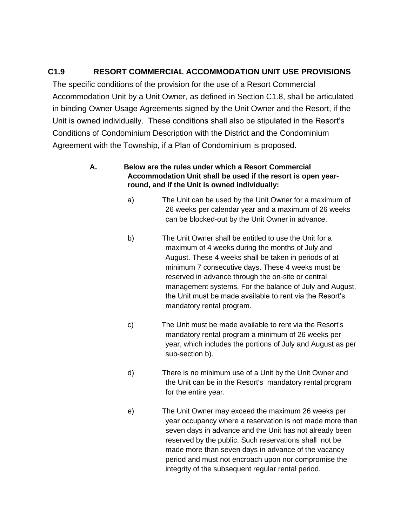### **C1.9 RESORT COMMERCIAL ACCOMMODATION UNIT USE PROVISIONS**

The specific conditions of the provision for the use of a Resort Commercial Accommodation Unit by a Unit Owner, as defined in Section C1.8, shall be articulated in binding Owner Usage Agreements signed by the Unit Owner and the Resort, if the Unit is owned individually. These conditions shall also be stipulated in the Resort's Conditions of Condominium Description with the District and the Condominium Agreement with the Township, if a Plan of Condominium is proposed.

#### **A. Below are the rules under which a Resort Commercial Accommodation Unit shall be used if the resort is open yearround, and if the Unit is owned individually:**

- a) The Unit can be used by the Unit Owner for a maximum of 26 weeks per calendar year and a maximum of 26 weeks can be blocked-out by the Unit Owner in advance.
- b) The Unit Owner shall be entitled to use the Unit for a maximum of 4 weeks during the months of July and August. These 4 weeks shall be taken in periods of at minimum 7 consecutive days. These 4 weeks must be reserved in advance through the on-site or central management systems. For the balance of July and August, the Unit must be made available to rent via the Resort's mandatory rental program.
- c) The Unit must be made available to rent via the Resort's mandatory rental program a minimum of 26 weeks per year, which includes the portions of July and August as per sub-section b).
- d) There is no minimum use of a Unit by the Unit Owner and the Unit can be in the Resort's mandatory rental program for the entire year.
- e) The Unit Owner may exceed the maximum 26 weeks per year occupancy where a reservation is not made more than seven days in advance and the Unit has not already been reserved by the public. Such reservations shall not be made more than seven days in advance of the vacancy period and must not encroach upon nor compromise the integrity of the subsequent regular rental period.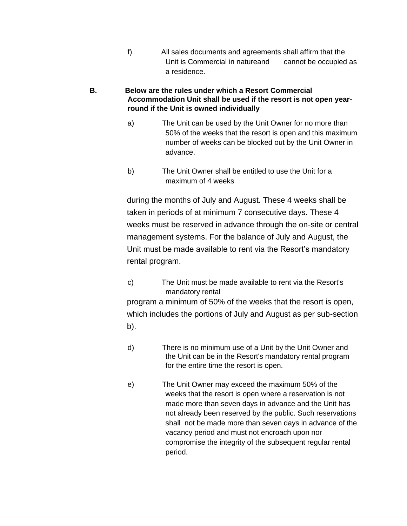f) All sales documents and agreements shall affirm that the Unit is Commercial in natureand cannot be occupied as a residence.

#### **B. Below are the rules under which a Resort Commercial Accommodation Unit shall be used if the resort is not open yearround if the Unit is owned individually**

- a) The Unit can be used by the Unit Owner for no more than 50% of the weeks that the resort is open and this maximum number of weeks can be blocked out by the Unit Owner in advance.
- b) The Unit Owner shall be entitled to use the Unit for a maximum of 4 weeks

during the months of July and August. These 4 weeks shall be taken in periods of at minimum 7 consecutive days. These 4 weeks must be reserved in advance through the on-site or central management systems. For the balance of July and August, the Unit must be made available to rent via the Resort's mandatory rental program.

c) The Unit must be made available to rent via the Resort's mandatory rental

program a minimum of 50% of the weeks that the resort is open, which includes the portions of July and August as per sub-section b).

- d) There is no minimum use of a Unit by the Unit Owner and the Unit can be in the Resort's mandatory rental program for the entire time the resort is open.
- e) The Unit Owner may exceed the maximum 50% of the weeks that the resort is open where a reservation is not made more than seven days in advance and the Unit has not already been reserved by the public. Such reservations shall not be made more than seven days in advance of the vacancy period and must not encroach upon nor compromise the integrity of the subsequent regular rental period.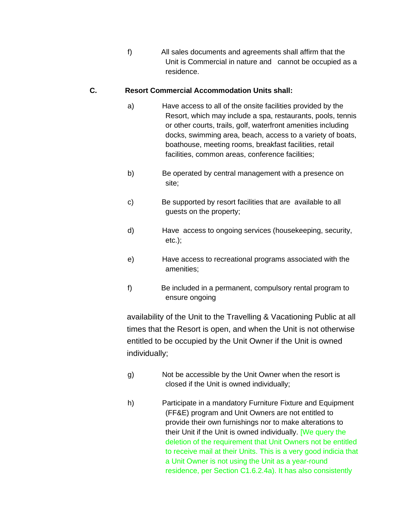f) All sales documents and agreements shall affirm that the Unit is Commercial in nature and cannot be occupied as a residence.

#### **C. Resort Commercial Accommodation Units shall:**

- a) Have access to all of the onsite facilities provided by the Resort, which may include a spa, restaurants, pools, tennis or other courts, trails, golf, waterfront amenities including docks, swimming area, beach, access to a variety of boats, boathouse, meeting rooms, breakfast facilities, retail facilities, common areas, conference facilities;
- b) Be operated by central management with a presence on site;
- c) Be supported by resort facilities that are available to all guests on the property;
- d) Have access to ongoing services (housekeeping, security, etc.);
- e) Have access to recreational programs associated with the amenities;
- f) Be included in a permanent, compulsory rental program to ensure ongoing

availability of the Unit to the Travelling & Vacationing Public at all times that the Resort is open, and when the Unit is not otherwise entitled to be occupied by the Unit Owner if the Unit is owned individually;

- g) Not be accessible by the Unit Owner when the resort is closed if the Unit is owned individually;
- h) Participate in a mandatory Furniture Fixture and Equipment (FF&E) program and Unit Owners are not entitled to provide their own furnishings nor to make alterations to their Unit if the Unit is owned individually. [We query the deletion of the requirement that Unit Owners not be entitled to receive mail at their Units. This is a very good indicia that a Unit Owner is not using the Unit as a year-round residence, per Section C1.6.2.4a). It has also consistently